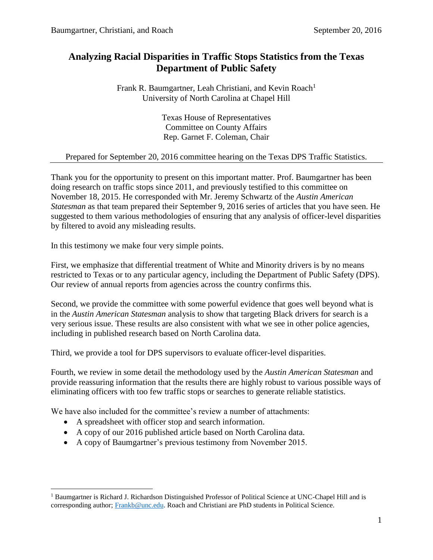### **Analyzing Racial Disparities in Traffic Stops Statistics from the Texas Department of Public Safety**

Frank R. Baumgartner, Leah Christiani, and Kevin Roach<sup>1</sup> University of North Carolina at Chapel Hill

> Texas House of Representatives Committee on County Affairs Rep. Garnet F. Coleman, Chair

#### Prepared for September 20, 2016 committee hearing on the Texas DPS Traffic Statistics.

Thank you for the opportunity to present on this important matter. Prof. Baumgartner has been doing research on traffic stops since 2011, and previously testified to this committee on November 18, 2015. He corresponded with Mr. Jeremy Schwartz of the *Austin American Statesman* as that team prepared their September 9, 2016 series of articles that you have seen. He suggested to them various methodologies of ensuring that any analysis of officer-level disparities by filtered to avoid any misleading results.

In this testimony we make four very simple points.

First, we emphasize that differential treatment of White and Minority drivers is by no means restricted to Texas or to any particular agency, including the Department of Public Safety (DPS). Our review of annual reports from agencies across the country confirms this.

Second, we provide the committee with some powerful evidence that goes well beyond what is in the *Austin American Statesman* analysis to show that targeting Black drivers for search is a very serious issue. These results are also consistent with what we see in other police agencies, including in published research based on North Carolina data.

Third, we provide a tool for DPS supervisors to evaluate officer-level disparities.

Fourth, we review in some detail the methodology used by the *Austin American Statesman* and provide reassuring information that the results there are highly robust to various possible ways of eliminating officers with too few traffic stops or searches to generate reliable statistics.

We have also included for the committee's review a number of attachments:

A spreadsheet with officer stop and search information.

 $\overline{a}$ 

- A copy of our 2016 published article based on North Carolina data.
- A copy of Baumgartner's previous testimony from November 2015.

<sup>&</sup>lt;sup>1</sup> Baumgartner is Richard J. Richardson Distinguished Professor of Political Science at UNC-Chapel Hill and is corresponding author; [Frankb@unc.edu.](mailto:Frankb@unc.edu) Roach and Christiani are PhD students in Political Science.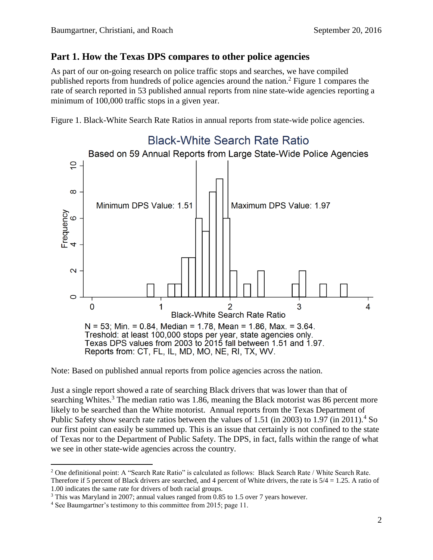### **Part 1. How the Texas DPS compares to other police agencies**

As part of our on-going research on police traffic stops and searches, we have compiled published reports from hundreds of police agencies around the nation.<sup>2</sup> Figure 1 compares the rate of search reported in 53 published annual reports from nine state-wide agencies reporting a minimum of 100,000 traffic stops in a given year.

Figure 1. Black-White Search Rate Ratios in annual reports from state-wide police agencies.



Note: Based on published annual reports from police agencies across the nation.

Just a single report showed a rate of searching Black drivers that was lower than that of searching Whites. $3$  The median ratio was 1.86, meaning the Black motorist was 86 percent more likely to be searched than the White motorist. Annual reports from the Texas Department of Public Safety show search rate ratios between the values of 1.51 (in 2003) to 1.97 (in 2011).<sup>4</sup> So our first point can easily be summed up. This is an issue that certainly is not confined to the state of Texas nor to the Department of Public Safety. The DPS, in fact, falls within the range of what we see in other state-wide agencies across the country.

 $\overline{a}$ <sup>2</sup> One definitional point: A "Search Rate Ratio" is calculated as follows: Black Search Rate / White Search Rate.

Therefore if 5 percent of Black drivers are searched, and 4 percent of White drivers, the rate is  $5/4 = 1.25$ . A ratio of 1.00 indicates the same rate for drivers of both racial groups.

<sup>3</sup> This was Maryland in 2007; annual values ranged from 0.85 to 1.5 over 7 years however.

<sup>&</sup>lt;sup>4</sup> See Baumgartner's testimony to this committee from 2015; page 11.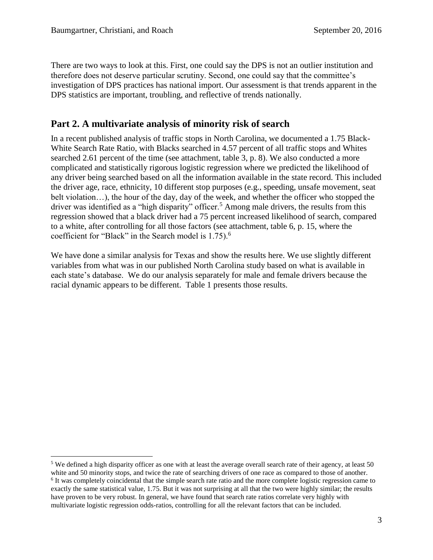$\overline{a}$ 

There are two ways to look at this. First, one could say the DPS is not an outlier institution and therefore does not deserve particular scrutiny. Second, one could say that the committee's investigation of DPS practices has national import. Our assessment is that trends apparent in the DPS statistics are important, troubling, and reflective of trends nationally.

### **Part 2. A multivariate analysis of minority risk of search**

In a recent published analysis of traffic stops in North Carolina, we documented a 1.75 Black-White Search Rate Ratio, with Blacks searched in 4.57 percent of all traffic stops and Whites searched 2.61 percent of the time (see attachment, table 3, p. 8). We also conducted a more complicated and statistically rigorous logistic regression where we predicted the likelihood of any driver being searched based on all the information available in the state record. This included the driver age, race, ethnicity, 10 different stop purposes (e.g., speeding, unsafe movement, seat belt violation...), the hour of the day, day of the week, and whether the officer who stopped the driver was identified as a "high disparity" officer.<sup>5</sup> Among male drivers, the results from this regression showed that a black driver had a 75 percent increased likelihood of search, compared to a white, after controlling for all those factors (see attachment, table 6, p. 15, where the coefficient for "Black" in the Search model is  $1.75$ ).<sup>6</sup>

We have done a similar analysis for Texas and show the results here. We use slightly different variables from what was in our published North Carolina study based on what is available in each state's database. We do our analysis separately for male and female drivers because the racial dynamic appears to be different. Table 1 presents those results.

multivariate logistic regression odds-ratios, controlling for all the relevant factors that can be included.

<sup>&</sup>lt;sup>5</sup> We defined a high disparity officer as one with at least the average overall search rate of their agency, at least 50 white and 50 minority stops, and twice the rate of searching drivers of one race as compared to those of another. <sup>6</sup> It was completely coincidental that the simple search rate ratio and the more complete logistic regression came to exactly the same statistical value, 1.75. But it was not surprising at all that the two were highly similar; the results have proven to be very robust. In general, we have found that search rate ratios correlate very highly with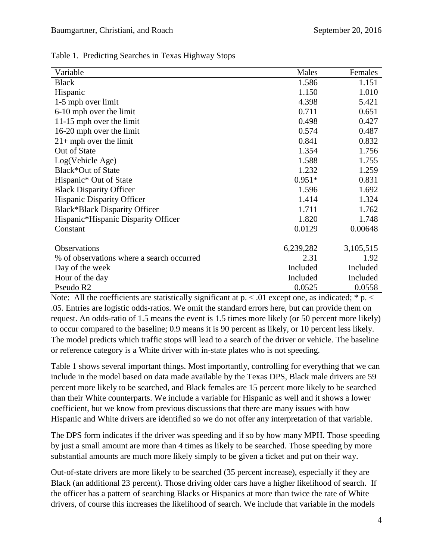| Table 1. Predicting Searches in Texas Highway Stops |  |  |
|-----------------------------------------------------|--|--|
|                                                     |  |  |

| Variable                                  | Males     | Females   |
|-------------------------------------------|-----------|-----------|
| <b>Black</b>                              | 1.586     | 1.151     |
| Hispanic                                  | 1.150     | 1.010     |
| 1-5 mph over limit                        | 4.398     | 5.421     |
| 6-10 mph over the limit                   | 0.711     | 0.651     |
| 11-15 mph over the limit                  | 0.498     | 0.427     |
| 16-20 mph over the limit                  | 0.574     | 0.487     |
| $21+$ mph over the limit                  | 0.841     | 0.832     |
| Out of State                              | 1.354     | 1.756     |
| Log(Vehicle Age)                          | 1.588     | 1.755     |
| Black*Out of State                        | 1.232     | 1.259     |
| Hispanic* Out of State                    | $0.951*$  | 0.831     |
| <b>Black Disparity Officer</b>            | 1.596     | 1.692     |
| Hispanic Disparity Officer                | 1.414     | 1.324     |
| <b>Black*Black Disparity Officer</b>      | 1.711     | 1.762     |
| Hispanic*Hispanic Disparity Officer       | 1.820     | 1.748     |
| Constant                                  | 0.0129    | 0.00648   |
|                                           |           |           |
| Observations                              | 6,239,282 | 3,105,515 |
| % of observations where a search occurred | 2.31      | 1.92      |
| Day of the week                           | Included  | Included  |
| Hour of the day                           | Included  | Included  |
| Pseudo R <sub>2</sub>                     | 0.0525    | 0.0558    |

Note: All the coefficients are statistically significant at  $p \leq 0.01$  except one, as indicated; \* p.  $\leq$ .05. Entries are logistic odds-ratios. We omit the standard errors here, but can provide them on request. An odds-ratio of 1.5 means the event is 1.5 times more likely (or 50 percent more likely) to occur compared to the baseline; 0.9 means it is 90 percent as likely, or 10 percent less likely. The model predicts which traffic stops will lead to a search of the driver or vehicle. The baseline or reference category is a White driver with in-state plates who is not speeding.

Table 1 shows several important things. Most importantly, controlling for everything that we can include in the model based on data made available by the Texas DPS, Black male drivers are 59 percent more likely to be searched, and Black females are 15 percent more likely to be searched than their White counterparts. We include a variable for Hispanic as well and it shows a lower coefficient, but we know from previous discussions that there are many issues with how Hispanic and White drivers are identified so we do not offer any interpretation of that variable.

The DPS form indicates if the driver was speeding and if so by how many MPH. Those speeding by just a small amount are more than 4 times as likely to be searched. Those speeding by more substantial amounts are much more likely simply to be given a ticket and put on their way.

Out-of-state drivers are more likely to be searched (35 percent increase), especially if they are Black (an additional 23 percent). Those driving older cars have a higher likelihood of search. If the officer has a pattern of searching Blacks or Hispanics at more than twice the rate of White drivers, of course this increases the likelihood of search. We include that variable in the models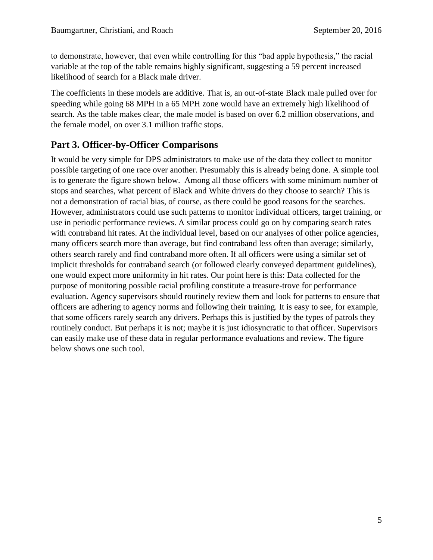to demonstrate, however, that even while controlling for this "bad apple hypothesis," the racial variable at the top of the table remains highly significant, suggesting a 59 percent increased likelihood of search for a Black male driver.

The coefficients in these models are additive. That is, an out-of-state Black male pulled over for speeding while going 68 MPH in a 65 MPH zone would have an extremely high likelihood of search. As the table makes clear, the male model is based on over 6.2 million observations, and the female model, on over 3.1 million traffic stops.

## **Part 3. Officer-by-Officer Comparisons**

It would be very simple for DPS administrators to make use of the data they collect to monitor possible targeting of one race over another. Presumably this is already being done. A simple tool is to generate the figure shown below. Among all those officers with some minimum number of stops and searches, what percent of Black and White drivers do they choose to search? This is not a demonstration of racial bias, of course, as there could be good reasons for the searches. However, administrators could use such patterns to monitor individual officers, target training, or use in periodic performance reviews. A similar process could go on by comparing search rates with contraband hit rates. At the individual level, based on our analyses of other police agencies, many officers search more than average, but find contraband less often than average; similarly, others search rarely and find contraband more often. If all officers were using a similar set of implicit thresholds for contraband search (or followed clearly conveyed department guidelines), one would expect more uniformity in hit rates. Our point here is this: Data collected for the purpose of monitoring possible racial profiling constitute a treasure-trove for performance evaluation. Agency supervisors should routinely review them and look for patterns to ensure that officers are adhering to agency norms and following their training. It is easy to see, for example, that some officers rarely search any drivers. Perhaps this is justified by the types of patrols they routinely conduct. But perhaps it is not; maybe it is just idiosyncratic to that officer. Supervisors can easily make use of these data in regular performance evaluations and review. The figure below shows one such tool.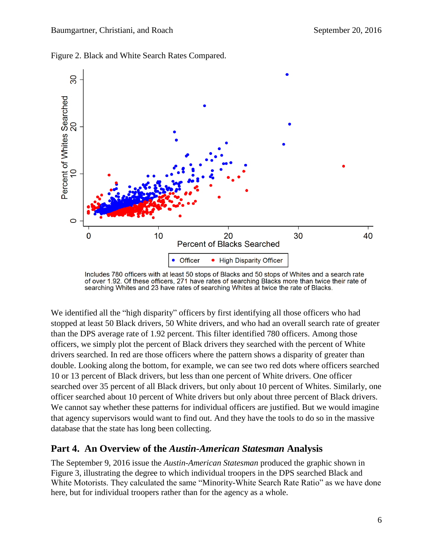

Figure 2. Black and White Search Rates Compared.

We identified all the "high disparity" officers by first identifying all those officers who had stopped at least 50 Black drivers, 50 White drivers, and who had an overall search rate of greater than the DPS average rate of 1.92 percent. This filter identified 780 officers. Among those officers, we simply plot the percent of Black drivers they searched with the percent of White drivers searched. In red are those officers where the pattern shows a disparity of greater than double. Looking along the bottom, for example, we can see two red dots where officers searched 10 or 13 percent of Black drivers, but less than one percent of White drivers. One officer searched over 35 percent of all Black drivers, but only about 10 percent of Whites. Similarly, one officer searched about 10 percent of White drivers but only about three percent of Black drivers. We cannot say whether these patterns for individual officers are justified. But we would imagine that agency supervisors would want to find out. And they have the tools to do so in the massive database that the state has long been collecting.

#### **Part 4. An Overview of the** *Austin-American Statesman* **Analysis**

The September 9, 2016 issue the *Austin-American Statesman* produced the graphic shown in Figure 3, illustrating the degree to which individual troopers in the DPS searched Black and White Motorists. They calculated the same "Minority-White Search Rate Ratio" as we have done here, but for individual troopers rather than for the agency as a whole.

Includes 780 officers with at least 50 stops of Blacks and 50 stops of Whites and a search rate of over 1.92. Of these officers, 271 have rates of searching Blacks more than twice their rate of searching Whites and 23 have rates of searching Whites at twice the rate of Blacks.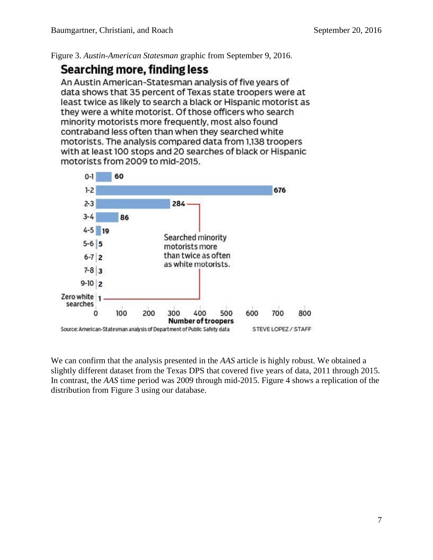Figure 3. *Austin-American Statesman* graphic from September 9, 2016.

# **Searching more, finding less**

An Austin American-Statesman analysis of five years of data shows that 35 percent of Texas state troopers were at least twice as likely to search a black or Hispanic motorist as they were a white motorist. Of those officers who search minority motorists more frequently, most also found contraband less often than when they searched white motorists. The analysis compared data from 1,138 troopers with at least 100 stops and 20 searches of black or Hispanic motorists from 2009 to mid-2015.



We can confirm that the analysis presented in the *AAS* article is highly robust. We obtained a slightly different dataset from the Texas DPS that covered five years of data, 2011 through 2015. In contrast, the *AAS* time period was 2009 through mid-2015. Figure 4 shows a replication of the distribution from Figure 3 using our database.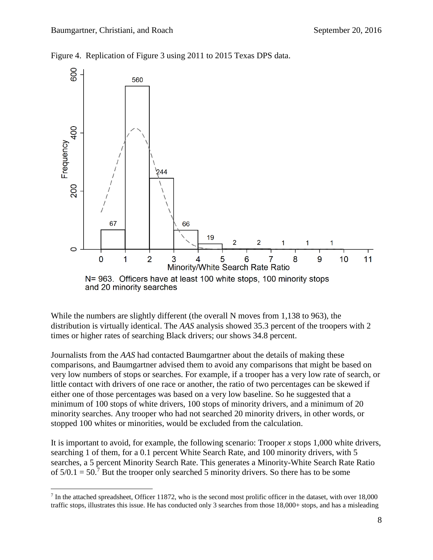Figure 4. Replication of Figure 3 using 2011 to 2015 Texas DPS data.



and 20 minority searches

 $\overline{a}$ 

While the numbers are slightly different (the overall N moves from 1,138 to 963), the distribution is virtually identical. The *AAS* analysis showed 35.3 percent of the troopers with 2 times or higher rates of searching Black drivers; our shows 34.8 percent.

Journalists from the *AAS* had contacted Baumgartner about the details of making these comparisons, and Baumgartner advised them to avoid any comparisons that might be based on very low numbers of stops or searches. For example, if a trooper has a very low rate of search, or little contact with drivers of one race or another, the ratio of two percentages can be skewed if either one of those percentages was based on a very low baseline. So he suggested that a minimum of 100 stops of white drivers, 100 stops of minority drivers, and a minimum of 20 minority searches. Any trooper who had not searched 20 minority drivers, in other words, or stopped 100 whites or minorities, would be excluded from the calculation.

It is important to avoid, for example, the following scenario: Trooper *x* stops 1,000 white drivers, searching 1 of them, for a 0.1 percent White Search Rate, and 100 minority drivers, with 5 searches, a 5 percent Minority Search Rate. This generates a Minority-White Search Rate Ratio of  $5/0.1 = 50$ .<sup>7</sup> But the trooper only searched 5 minority drivers. So there has to be some

<sup>&</sup>lt;sup>7</sup> In the attached spreadsheet, Officer 11872, who is the second most prolific officer in the dataset, with over 18,000 traffic stops, illustrates this issue. He has conducted only 3 searches from those 18,000+ stops, and has a misleading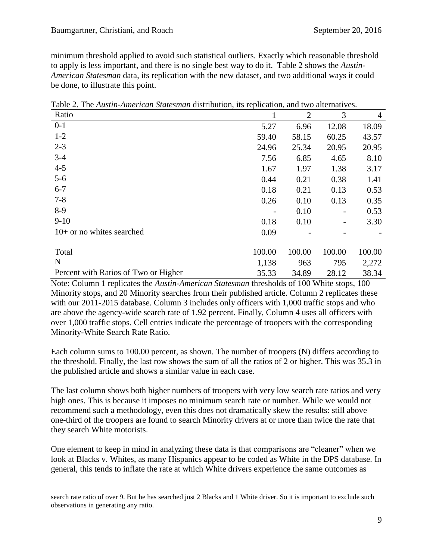minimum threshold applied to avoid such statistical outliers. Exactly which reasonable threshold to apply is less important, and there is no single best way to do it. Table 2 shows the *Austin-American Statesman* data, its replication with the new dataset, and two additional ways it could be done, to illustrate this point.

| Ratio                                |        | $\overline{2}$ | 3      | $\overline{4}$ |
|--------------------------------------|--------|----------------|--------|----------------|
| $0-1$                                | 5.27   | 6.96           | 12.08  | 18.09          |
| $1 - 2$                              | 59.40  | 58.15          | 60.25  | 43.57          |
| $2 - 3$                              | 24.96  | 25.34          | 20.95  | 20.95          |
| $3 - 4$                              | 7.56   | 6.85           | 4.65   | 8.10           |
| $4 - 5$                              | 1.67   | 1.97           | 1.38   | 3.17           |
| $5-6$                                | 0.44   | 0.21           | 0.38   | 1.41           |
| $6 - 7$                              | 0.18   | 0.21           | 0.13   | 0.53           |
| $7 - 8$                              | 0.26   | 0.10           | 0.13   | 0.35           |
| $8-9$                                |        | 0.10           |        | 0.53           |
| $9-10$                               | 0.18   | 0.10           |        | 3.30           |
| $10+$ or no whites searched          | 0.09   |                |        |                |
| Total                                | 100.00 | 100.00         | 100.00 | 100.00         |
| N                                    | 1,138  | 963            | 795    | 2,272          |
| Percent with Ratios of Two or Higher | 35.33  | 34.89          | 28.12  | 38.34          |

Table 2. The *Austin-American Statesman* distribution, its replication, and two alternatives.

Note: Column 1 replicates the *Austin-American Statesman* thresholds of 100 White stops, 100 Minority stops, and 20 Minority searches from their published article. Column 2 replicates these with our 2011-2015 database. Column 3 includes only officers with 1,000 traffic stops and who are above the agency-wide search rate of 1.92 percent. Finally, Column 4 uses all officers with over 1,000 traffic stops. Cell entries indicate the percentage of troopers with the corresponding Minority-White Search Rate Ratio.

Each column sums to 100.00 percent, as shown. The number of troopers (N) differs according to the threshold. Finally, the last row shows the sum of all the ratios of 2 or higher. This was 35.3 in the published article and shows a similar value in each case.

The last column shows both higher numbers of troopers with very low search rate ratios and very high ones. This is because it imposes no minimum search rate or number. While we would not recommend such a methodology, even this does not dramatically skew the results: still above one-third of the troopers are found to search Minority drivers at or more than twice the rate that they search White motorists.

One element to keep in mind in analyzing these data is that comparisons are "cleaner" when we look at Blacks v. Whites, as many Hispanics appear to be coded as White in the DPS database. In general, this tends to inflate the rate at which White drivers experience the same outcomes as

 $\overline{a}$ search rate ratio of over 9. But he has searched just 2 Blacks and 1 White driver. So it is important to exclude such observations in generating any ratio.